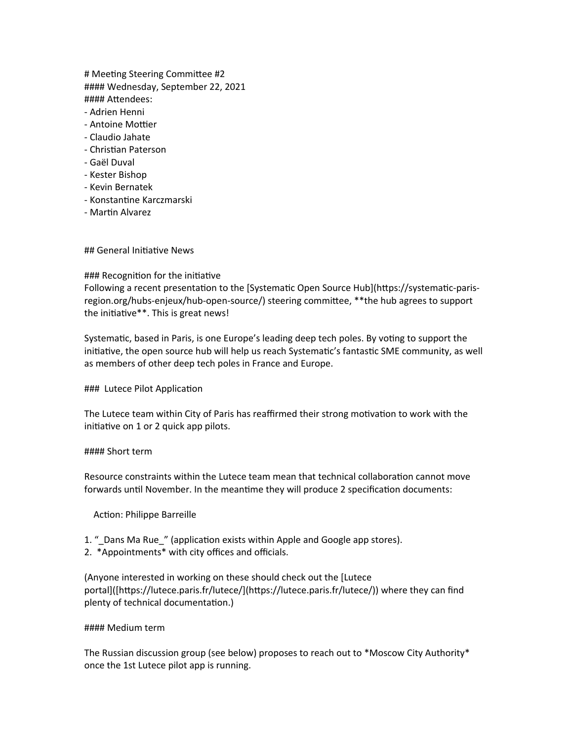# Meeting Steering Committee #2 #### Wednesday, September 22, 2021 #### Attendees:

- Adrien Henni
- Antoine Mottier
- Claudio Jahate
- Christian Paterson
- Gaël Duval
- Kester Bishop
- Kevin Bernatek
- Konstantine Karczmarski
- Martin Alvarez

## General Initiative News

### ### Recognition for the initiative

Following a recent presentation to the [Systematic Open Source Hub](https://systematic-parisregion.org/hubs-enjeux/hub-open-source/) steering committee, \*\*the hub agrees to support the initiative\*\*. This is great news!

Systematic, based in Paris, is one Europe's leading deep tech poles. By voting to support the initiative, the open source hub will help us reach Systematic's fantastic SME community, as well as members of other deep tech poles in France and Europe.

### Lutece Pilot Application

The Lutece team within City of Paris has reaffirmed their strong motivation to work with the initiative on 1 or 2 quick app pilots.

### #### Short term

Resource constraints within the Lutece team mean that technical collaboration cannot move forwards until November. In the meantime they will produce 2 specification documents:

Action: Philippe Barreille

- 1. "\_Dans Ma Rue\_" (application exists within Apple and Google app stores).
- 2. \*Appointments\* with city offices and officials.

(Anyone interested in working on these should check out the [Lutece portal]([https://lutece.paris.fr/lutece/](https://lutece.paris.fr/lutece/)) where they can find plenty of technical documentation.)

### #### Medium term

The Russian discussion group (see below) proposes to reach out to \*Moscow City Authority\* once the 1st Lutece pilot app is running.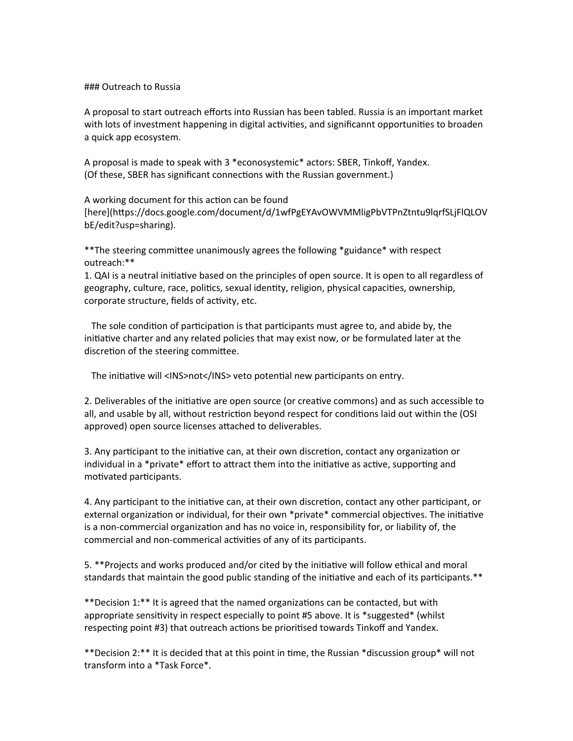### ### Outreach to Russia

A proposal to start outreach efforts into Russian has been tabled. Russia is an important market with lots of investment happening in digital activities, and significannt opportunities to broaden a quick app ecosystem.

A proposal is made to speak with 3 \*econosystemic\* actors: SBER, Tinkoff, Yandex. (Of these, SBER has significant connections with the Russian government.)

A working document for this action can be found [here](https://docs.google.com/document/d/1wfPgEYAvOWVMMligPbVTPnZtntu9lqrfSLjFlQLOV bE/edit?usp=sharing).

\*\*The steering committee unanimously agrees the following \*guidance\* with respect outreach:\*\*

1. QAI is a neutral initiative based on the principles of open source. It is open to all regardless of geography, culture, race, politics, sexual identity, religion, physical capacities, ownership, corporate structure, fields of activity, etc.

 The sole condition of participation is that participants must agree to, and abide by, the initiative charter and any related policies that may exist now, or be formulated later at the discretion of the steering committee.

The initiative will <INS>not</INS> veto potential new participants on entry.

2. Deliverables of the initiative are open source (or creative commons) and as such accessible to all, and usable by all, without restriction beyond respect for conditions laid out within the (OSI approved) open source licenses attached to deliverables.

3. Any participant to the initiative can, at their own discretion, contact any organization or individual in a \*private\* effort to attract them into the initiative as active, supporting and motivated participants.

4. Any participant to the initiative can, at their own discretion, contact any other participant, or external organization or individual, for their own \*private\* commercial objectives. The initiative is a non-commercial organization and has no voice in, responsibility for, or liability of, the commercial and non-commerical activities of any of its participants.

5. \*\*Projects and works produced and/or cited by the initiative will follow ethical and moral standards that maintain the good public standing of the initiative and each of its participants.\*\*

\*\*Decision 1:\*\* It is agreed that the named organizations can be contacted, but with appropriate sensitivity in respect especially to point #5 above. It is \*suggested\* (whilst respecting point #3) that outreach actions be prioritised towards Tinkoff and Yandex.

\*\*Decision 2:\*\* It is decided that at this point in time, the Russian \*discussion group\* will not transform into a \*Task Force\*.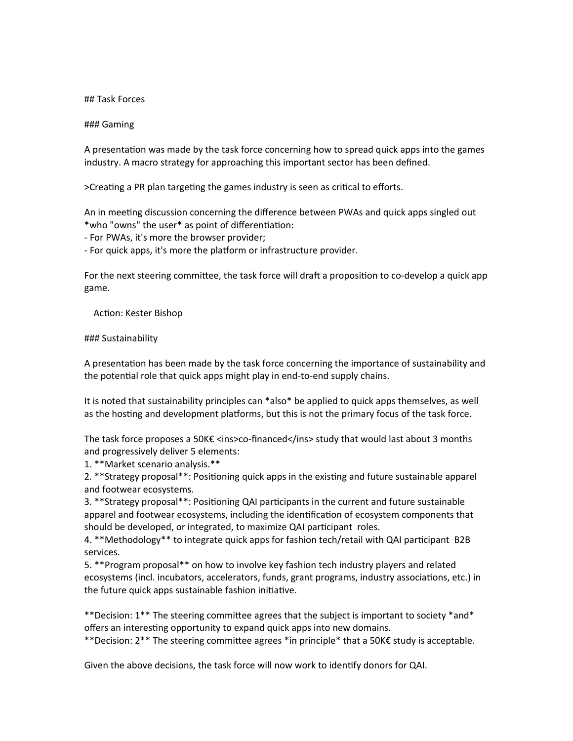## Task Forces

### Gaming

A presentation was made by the task force concerning how to spread quick apps into the games industry. A macro strategy for approaching this important sector has been defined.

>Creating a PR plan targeting the games industry is seen as critical to efforts.

An in meeting discussion concerning the difference between PWAs and quick apps singled out \*who "owns" the user\* as point of differentiation:

- For PWAs, it's more the browser provider;

- For quick apps, it's more the platform or infrastructure provider.

For the next steering committee, the task force will draft a proposition to co-develop a quick app game.

Action: Kester Bishop

### Sustainability

A presentation has been made by the task force concerning the importance of sustainability and the potential role that quick apps might play in end-to-end supply chains.

It is noted that sustainability principles can \*also\* be applied to quick apps themselves, as well as the hosting and development platforms, but this is not the primary focus of the task force.

The task force proposes a 50K€ <ins>co-financed</ins> study that would last about 3 months and progressively deliver 5 elements:

1. \*\*Market scenario analysis.\*\*

2. \*\*Strategy proposal\*\*: Positioning quick apps in the existing and future sustainable apparel and footwear ecosystems.

3. \*\*Strategy proposal\*\*: Positioning QAI participants in the current and future sustainable apparel and footwear ecosystems, including the identification of ecosystem components that should be developed, or integrated, to maximize QAI participant roles.

4. \*\*Methodology\*\* to integrate quick apps for fashion tech/retail with QAI participant B2B services.

5. \*\*Program proposal\*\* on how to involve key fashion tech industry players and related ecosystems (incl. incubators, accelerators, funds, grant programs, industry associations, etc.) in the future quick apps sustainable fashion initiative.

\*\*Decision: 1\*\* The steering committee agrees that the subject is important to society \*and\* offers an interesting opportunity to expand quick apps into new domains.

\*\*Decision: 2\*\* The steering committee agrees \*in principle\* that a 50K€ study is acceptable.

Given the above decisions, the task force will now work to identify donors for QAI.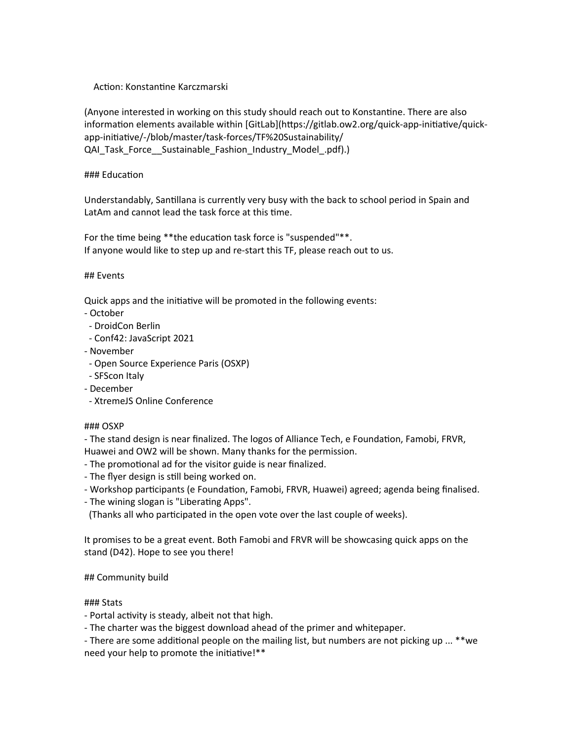# Action: Konstantine Karczmarski

(Anyone interested in working on this study should reach out to Konstantine. There are also information elements available within [GitLab](https://gitlab.ow2.org/quick-app-initiative/quickapp-initiative/-/blob/master/task-forces/TF%20Sustainability/ QAI\_Task\_Force\_\_Sustainable\_Fashion\_Industry\_Model\_.pdf).)

### ### Education

Understandably, Santillana is currently very busy with the back to school period in Spain and LatAm and cannot lead the task force at this time.

For the time being \*\* the education task force is "suspended" \*\*. If anyone would like to step up and re-start this TF, please reach out to us.

### ## Events

Quick apps and the initiative will be promoted in the following events:

- October
- DroidCon Berlin
- Conf42: JavaScript 2021
- November
- Open Source Experience Paris (OSXP)
- SFScon Italy
- December
- XtremeJS Online Conference

### ### OSXP

- The stand design is near finalized. The logos of Alliance Tech, e Foundation, Famobi, FRVR, Huawei and OW2 will be shown. Many thanks for the permission.

- The promotional ad for the visitor guide is near finalized.
- The flyer design is still being worked on.
- Workshop participants (e Foundation, Famobi, FRVR, Huawei) agreed; agenda being finalised.
- The wining slogan is "Liberating Apps".

(Thanks all who participated in the open vote over the last couple of weeks).

It promises to be a great event. Both Famobi and FRVR will be showcasing quick apps on the stand (D42). Hope to see you there!

# ## Community build

# ### Stats

- Portal activity is steady, albeit not that high.

- The charter was the biggest download ahead of the primer and whitepaper.

- There are some additional people on the mailing list, but numbers are not picking up ... \*\*we need your help to promote the initiative!\*\*